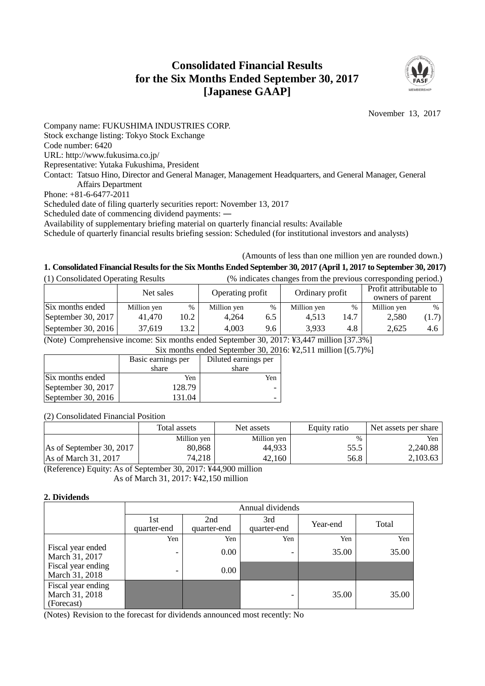# **Consolidated Financial Results for the Six Months Ended September 30, 2017 [Japanese GAAP]**



November 13, 2017

Company name: FUKUSHIMA INDUSTRIES CORP. Stock exchange listing: Tokyo Stock Exchange Code number: 6420 URL: http://www.fukusima.co.jp/ Representative: Yutaka Fukushima, President Contact: Tatsuo Hino, Director and General Manager, Management Headquarters, and General Manager, General Affairs Department Phone: +81-6-6477-2011 Scheduled date of filing quarterly securities report: November 13, 2017 Scheduled date of commencing dividend payments: ― Availability of supplementary briefing material on quarterly financial results: Available

Schedule of quarterly financial results briefing session: Scheduled (for institutional investors and analysts)

# (Amounts of less than one million yen are rounded down.)

# **1. Consolidated Financial Resultsfor the Six Months Ended September 30, 2017 (April 1, 2017 to September 30, 2017)**

| (1) Consolidated Operating Results<br>(% indicates changes from the previous corresponding period.) |             |      |                  |      |                 |      |                                            |       |
|-----------------------------------------------------------------------------------------------------|-------------|------|------------------|------|-----------------|------|--------------------------------------------|-------|
|                                                                                                     | Net sales   |      | Operating profit |      | Ordinary profit |      | Profit attributable to<br>owners of parent |       |
| Six months ended                                                                                    | Million yen | %    | Million yen      | $\%$ | Million yen     | %    | Million yen                                | $\%$  |
| September 30, 2017                                                                                  | 41.470      | 10.2 | 4.264            | 6.5  | 4.513           | 14.7 | 2,580                                      | (1.7) |
| September 30, 2016                                                                                  | 37,619      | 13.2 | 4,003            | 9.6  | 3.933           | 4.8  | 2.625                                      | 4.6   |

(Note) Comprehensive income: Six months ended September 30, 2017: ¥3,447 million [37.3%]

Six months ended September 30, 2016: ¥2,511 million [(5.7)%]

|                    | Basic earnings per | Diluted earnings per |
|--------------------|--------------------|----------------------|
|                    | share              | share                |
| Six months ended   | Yen                | Yen                  |
| September 30, 2017 | 128.79             |                      |
| September 30, 2016 | 131.04             |                      |

## (2) Consolidated Financial Position

|                               | Total assets | Net assets  | Equity ratio | Net assets per share |
|-------------------------------|--------------|-------------|--------------|----------------------|
|                               | Million yen  | Million yen | $\%$         | Yen                  |
| As of September 30, 2017      | 80.868       | 44,933      | 55.5         | 2,240.88             |
| $\text{As}$ of March 31, 2017 | 74,218       | 42.160      | 56.8         | 2,103.63             |

(Reference) Equity: As of September 30, 2017: ¥44,900 million As of March 31, 2017: ¥42,150 million

## **2. Dividends**

|                                                    | Annual dividends   |                    |                    |          |       |  |  |  |
|----------------------------------------------------|--------------------|--------------------|--------------------|----------|-------|--|--|--|
|                                                    | 1st<br>quarter-end | 2nd<br>quarter-end | 3rd<br>quarter-end | Year-end | Total |  |  |  |
|                                                    | Yen                | Yen                | Yen                | Yen      | Yen   |  |  |  |
| Fiscal year ended<br>March 31, 2017                |                    | 0.00               | -                  | 35.00    | 35.00 |  |  |  |
| Fiscal year ending<br>March 31, 2018               |                    | 0.00               |                    |          |       |  |  |  |
| Fiscal year ending<br>March 31, 2018<br>(Forecast) |                    |                    | -                  | 35.00    | 35.00 |  |  |  |

(Notes) Revision to the forecast for dividends announced most recently: No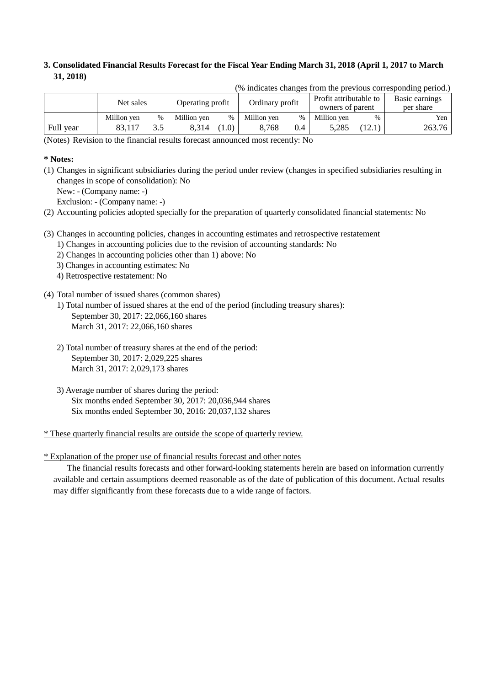# **3. Consolidated Financial Results Forecast for the Fiscal Year Ending March 31, 2018 (April 1, 2017 to March 31, 2018)**

|           | Net sales   |      | Ordinary profit<br>Operating profit |     | Profit attributable to |      | Basic earnings   |               |           |
|-----------|-------------|------|-------------------------------------|-----|------------------------|------|------------------|---------------|-----------|
|           |             |      |                                     |     |                        |      | owners of parent |               | per share |
|           | Million yen | $\%$ | Million ven                         | %   | Million yen            | $\%$ | Million yen      | $\frac{0}{0}$ | Yen       |
| Full year | 83.117      |      | 8.314                               | 1.0 | 8.768                  | 0.4  | 5.285            | 12.1          | 263.76    |

(% indicates changes from the previous corresponding period.)

(Notes) Revision to the financial results forecast announced most recently: No

# **\* Notes:**

- (1) Changes in significant subsidiaries during the period under review (changes in specified subsidiaries resulting in changes in scope of consolidation): No
	- New: (Company name: -)

Exclusion: - (Company name: -)

- (2) Accounting policies adopted specially for the preparation of quarterly consolidated financial statements: No
- (3) Changes in accounting policies, changes in accounting estimates and retrospective restatement
	- 1) Changes in accounting policies due to the revision of accounting standards: No
		- 2) Changes in accounting policies other than 1) above: No
		- 3) Changes in accounting estimates: No
		- 4) Retrospective restatement: No
- (4) Total number of issued shares (common shares)
	- 1) Total number of issued shares at the end of the period (including treasury shares): September 30, 2017: 22,066,160 shares March 31, 2017: 22,066,160 shares
	- 2) Total number of treasury shares at the end of the period: September 30, 2017: 2,029,225 shares March 31, 2017: 2,029,173 shares
	- 3) Average number of shares during the period: Six months ended September 30, 2017: 20,036,944 shares Six months ended September 30, 2016: 20,037,132 shares

\* These quarterly financial results are outside the scope of quarterly review.

\* Explanation of the proper use of financial results forecast and other notes

The financial results forecasts and other forward-looking statements herein are based on information currently available and certain assumptions deemed reasonable as of the date of publication of this document. Actual results may differ significantly from these forecasts due to a wide range of factors.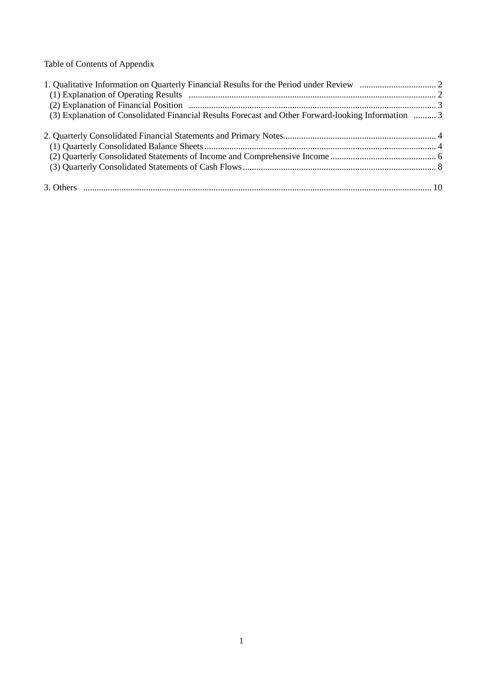Table of Contents of Appendix

| (3) Explanation of Consolidated Financial Results Forecast and Other Forward-looking Information  3 |  |
|-----------------------------------------------------------------------------------------------------|--|
|                                                                                                     |  |
|                                                                                                     |  |
|                                                                                                     |  |
|                                                                                                     |  |
|                                                                                                     |  |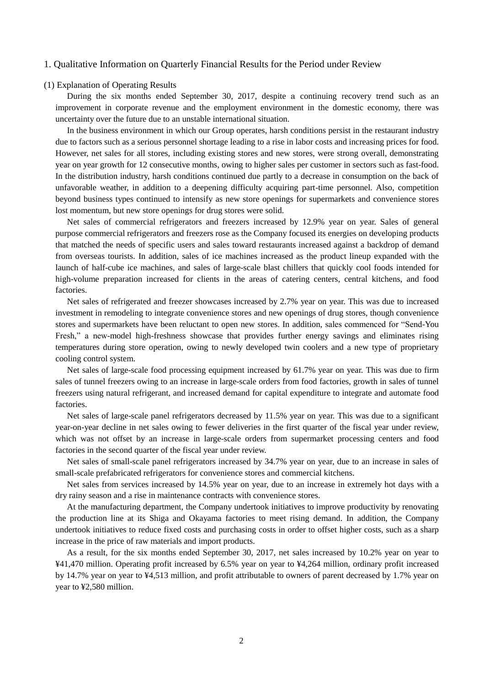#### 1. Qualitative Information on Quarterly Financial Results for the Period under Review

### (1) Explanation of Operating Results

During the six months ended September 30, 2017, despite a continuing recovery trend such as an improvement in corporate revenue and the employment environment in the domestic economy, there was uncertainty over the future due to an unstable international situation.

In the business environment in which our Group operates, harsh conditions persist in the restaurant industry due to factors such as a serious personnel shortage leading to a rise in labor costs and increasing prices for food. However, net sales for all stores, including existing stores and new stores, were strong overall, demonstrating year on year growth for 12 consecutive months, owing to higher sales per customer in sectors such as fast-food. In the distribution industry, harsh conditions continued due partly to a decrease in consumption on the back of unfavorable weather, in addition to a deepening difficulty acquiring part-time personnel. Also, competition beyond business types continued to intensify as new store openings for supermarkets and convenience stores lost momentum, but new store openings for drug stores were solid.

Net sales of commercial refrigerators and freezers increased by 12.9% year on year. Sales of general purpose commercial refrigerators and freezers rose as the Company focused its energies on developing products that matched the needs of specific users and sales toward restaurants increased against a backdrop of demand from overseas tourists. In addition, sales of ice machines increased as the product lineup expanded with the launch of half-cube ice machines, and sales of large-scale blast chillers that quickly cool foods intended for high-volume preparation increased for clients in the areas of catering centers, central kitchens, and food factories.

Net sales of refrigerated and freezer showcases increased by 2.7% year on year. This was due to increased investment in remodeling to integrate convenience stores and new openings of drug stores, though convenience stores and supermarkets have been reluctant to open new stores. In addition, sales commenced for "Send-You Fresh," a new-model high-freshness showcase that provides further energy savings and eliminates rising temperatures during store operation, owing to newly developed twin coolers and a new type of proprietary cooling control system.

Net sales of large-scale food processing equipment increased by 61.7% year on year. This was due to firm sales of tunnel freezers owing to an increase in large-scale orders from food factories, growth in sales of tunnel freezers using natural refrigerant, and increased demand for capital expenditure to integrate and automate food factories.

Net sales of large-scale panel refrigerators decreased by 11.5% year on year. This was due to a significant year-on-year decline in net sales owing to fewer deliveries in the first quarter of the fiscal year under review, which was not offset by an increase in large-scale orders from supermarket processing centers and food factories in the second quarter of the fiscal year under review.

Net sales of small-scale panel refrigerators increased by 34.7% year on year, due to an increase in sales of small-scale prefabricated refrigerators for convenience stores and commercial kitchens.

Net sales from services increased by 14.5% year on year, due to an increase in extremely hot days with a dry rainy season and a rise in maintenance contracts with convenience stores.

At the manufacturing department, the Company undertook initiatives to improve productivity by renovating the production line at its Shiga and Okayama factories to meet rising demand. In addition, the Company undertook initiatives to reduce fixed costs and purchasing costs in order to offset higher costs, such as a sharp increase in the price of raw materials and import products.

As a result, for the six months ended September 30, 2017, net sales increased by 10.2% year on year to ¥41,470 million. Operating profit increased by 6.5% year on year to ¥4,264 million, ordinary profit increased by 14.7% year on year to ¥4,513 million, and profit attributable to owners of parent decreased by 1.7% year on year to ¥2,580 million.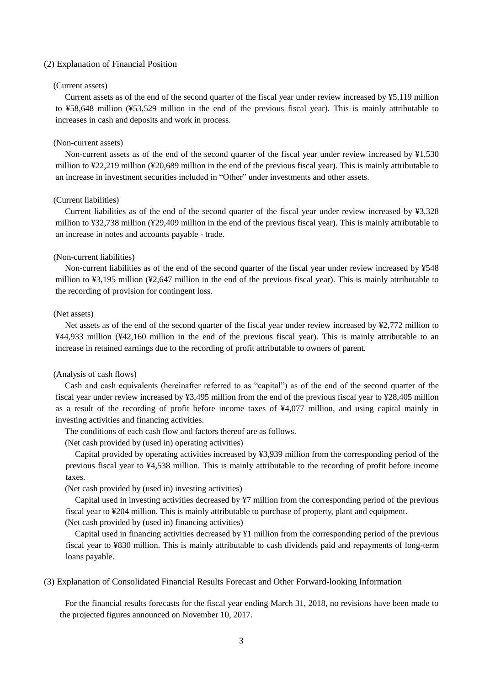#### (2) Explanation of Financial Position

### (Current assets)

Current assets as of the end of the second quarter of the fiscal year under review increased by ¥5,119 million to ¥58,648 million (¥53,529 million in the end of the previous fiscal year). This is mainly attributable to increases in cash and deposits and work in process.

#### (Non-current assets)

Non-current assets as of the end of the second quarter of the fiscal year under review increased by ¥1,530 million to ¥22,219 million (¥20,689 million in the end of the previous fiscal year). This is mainly attributable to an increase in investment securities included in "Other" under investments and other assets.

## (Current liabilities)

Current liabilities as of the end of the second quarter of the fiscal year under review increased by ¥3,328 million to ¥32,738 million (¥29,409 million in the end of the previous fiscal year). This is mainly attributable to an increase in notes and accounts payable - trade.

### (Non-current liabilities)

Non-current liabilities as of the end of the second quarter of the fiscal year under review increased by ¥548 million to ¥3,195 million (¥2,647 million in the end of the previous fiscal year). This is mainly attributable to the recording of provision for contingent loss.

#### (Net assets)

Net assets as of the end of the second quarter of the fiscal year under review increased by ¥2,772 million to ¥44,933 million (¥42,160 million in the end of the previous fiscal year). This is mainly attributable to an increase in retained earnings due to the recording of profit attributable to owners of parent.

#### (Analysis of cash flows)

Cash and cash equivalents (hereinafter referred to as "capital") as of the end of the second quarter of the fiscal year under review increased by ¥3,495 million from the end of the previous fiscal year to ¥28,405 million as a result of the recording of profit before income taxes of ¥4,077 million, and using capital mainly in investing activities and financing activities.

The conditions of each cash flow and factors thereof are as follows.

(Net cash provided by (used in) operating activities)

Capital provided by operating activities increased by ¥3,939 million from the corresponding period of the previous fiscal year to ¥4,538 million. This is mainly attributable to the recording of profit before income taxes.

(Net cash provided by (used in) investing activities)

Capital used in investing activities decreased by ¥7 million from the corresponding period of the previous fiscal year to ¥204 million. This is mainly attributable to purchase of property, plant and equipment. (Net cash provided by (used in) financing activities)

Capital used in financing activities decreased by ¥1 million from the corresponding period of the previous fiscal year to ¥830 million. This is mainly attributable to cash dividends paid and repayments of long-term loans payable.

#### (3) Explanation of Consolidated Financial Results Forecast and Other Forward-looking Information

For the financial results forecasts for the fiscal year ending March 31, 2018, no revisions have been made to the projected figures announced on November 10, 2017.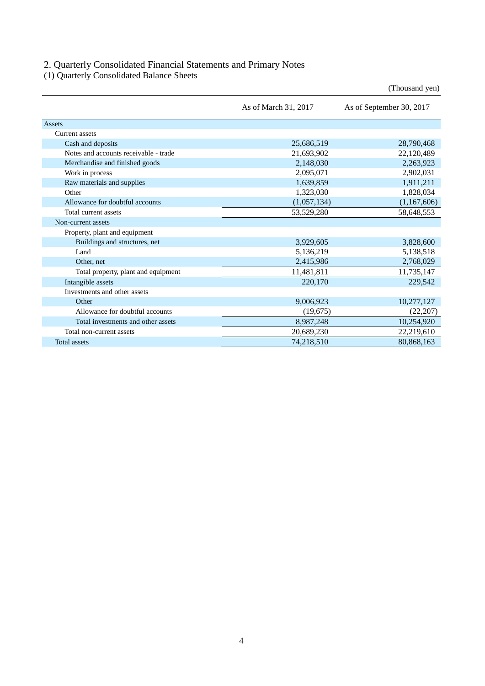## 2. Quarterly Consolidated Financial Statements and Primary Notes

(1) Quarterly Consolidated Balance Sheets

|                                       |                      | (Thousand yen)           |
|---------------------------------------|----------------------|--------------------------|
|                                       | As of March 31, 2017 | As of September 30, 2017 |
| <b>Assets</b>                         |                      |                          |
| <b>Current</b> assets                 |                      |                          |
| Cash and deposits                     | 25,686,519           | 28,790,468               |
| Notes and accounts receivable - trade | 21,693,902           | 22,120,489               |
| Merchandise and finished goods        | 2,148,030            | 2,263,923                |
| Work in process                       | 2,095,071            | 2,902,031                |
| Raw materials and supplies            | 1,639,859            | 1,911,211                |
| Other                                 | 1,323,030            | 1,828,034                |
| Allowance for doubtful accounts       | (1,057,134)          | (1,167,606)              |
| Total current assets                  | 53,529,280           | 58,648,553               |
| Non-current assets                    |                      |                          |
| Property, plant and equipment         |                      |                          |
| Buildings and structures, net         | 3,929,605            | 3,828,600                |
| Land                                  | 5,136,219            | 5,138,518                |
| Other, net                            | 2,415,986            | 2,768,029                |
| Total property, plant and equipment   | 11,481,811           | 11,735,147               |
| Intangible assets                     | 220,170              | 229,542                  |
| Investments and other assets          |                      |                          |
| Other                                 | 9,006,923            | 10,277,127               |
| Allowance for doubtful accounts       | (19,675)             | (22, 207)                |
| Total investments and other assets    | 8,987,248            | 10,254,920               |
| Total non-current assets              | 20,689,230           | 22,219,610               |
| <b>Total assets</b>                   | 74,218,510           | 80,868,163               |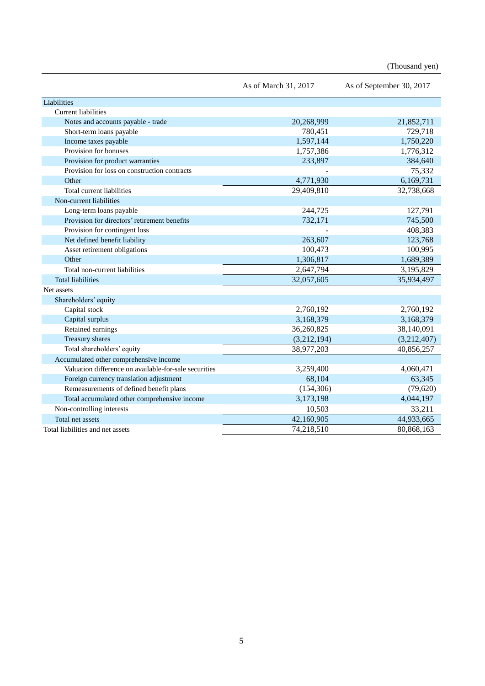(Thousand yen)

|                                                       | As of March 31, 2017 | As of September 30, 2017 |
|-------------------------------------------------------|----------------------|--------------------------|
| Liabilities                                           |                      |                          |
| <b>Current liabilities</b>                            |                      |                          |
| Notes and accounts payable - trade                    | 20,268,999           | 21,852,711               |
| Short-term loans payable                              | 780,451              | 729,718                  |
| Income taxes payable                                  | 1,597,144            | 1,750,220                |
| Provision for bonuses                                 | 1,757,386            | 1,776,312                |
| Provision for product warranties                      | 233,897              | 384,640                  |
| Provision for loss on construction contracts          |                      | 75,332                   |
| Other                                                 | 4,771,930            | 6,169,731                |
| Total current liabilities                             | 29,409,810           | 32,738,668               |
| Non-current liabilities                               |                      |                          |
| Long-term loans payable                               | 244,725              | 127,791                  |
| Provision for directors' retirement benefits          | 732,171              | 745,500                  |
| Provision for contingent loss                         |                      | 408,383                  |
| Net defined benefit liability                         | 263,607              | 123,768                  |
| Asset retirement obligations                          | 100,473              | 100,995                  |
| Other                                                 | 1,306,817            | 1,689,389                |
| Total non-current liabilities                         | 2,647,794            | 3,195,829                |
| <b>Total liabilities</b>                              | 32,057,605           | 35,934,497               |
| Net assets                                            |                      |                          |
| Shareholders' equity                                  |                      |                          |
| Capital stock                                         | 2,760,192            | 2,760,192                |
| Capital surplus                                       | 3,168,379            | 3,168,379                |
| Retained earnings                                     | 36,260,825           | 38,140,091               |
| Treasury shares                                       | (3,212,194)          | (3,212,407)              |
| Total shareholders' equity                            | 38,977,203           | 40,856,257               |
| Accumulated other comprehensive income                |                      |                          |
| Valuation difference on available-for-sale securities | 3,259,400            | 4,060,471                |
| Foreign currency translation adjustment               | 68,104               | 63,345                   |
| Remeasurements of defined benefit plans               | (154, 306)           | (79, 620)                |
| Total accumulated other comprehensive income          | 3,173,198            | 4,044,197                |
| Non-controlling interests                             | 10,503               | 33,211                   |
| Total net assets                                      | 42,160,905           | 44,933,665               |
| Total liabilities and net assets                      | 74,218,510           | 80,868,163               |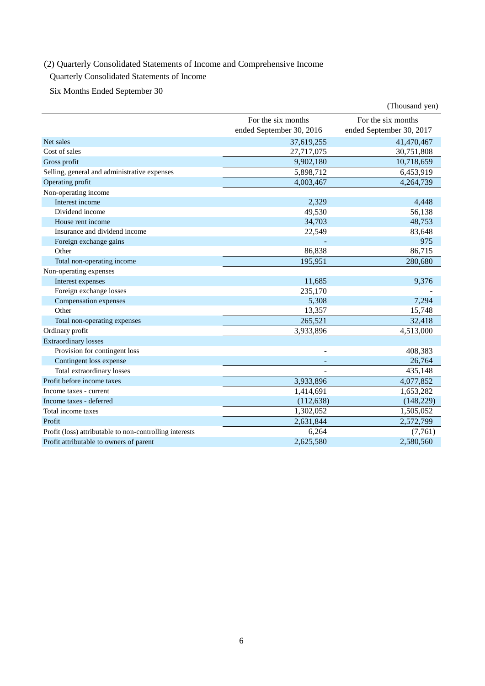# (2) Quarterly Consolidated Statements of Income and Comprehensive Income

# Quarterly Consolidated Statements of Income

Six Months Ended September 30

|                                                         |                          | (Thousand yen)           |
|---------------------------------------------------------|--------------------------|--------------------------|
|                                                         | For the six months       | For the six months       |
|                                                         | ended September 30, 2016 | ended September 30, 2017 |
| Net sales                                               | 37,619,255               | 41,470,467               |
| Cost of sales                                           | 27,717,075               | 30,751,808               |
| Gross profit                                            | 9,902,180                | 10,718,659               |
| Selling, general and administrative expenses            | 5,898,712                | 6,453,919                |
| Operating profit                                        | 4,003,467                | 4,264,739                |
| Non-operating income                                    |                          |                          |
| Interest income                                         | 2,329                    | 4,448                    |
| Dividend income                                         | 49,530                   | 56,138                   |
| House rent income                                       | 34,703                   | 48,753                   |
| Insurance and dividend income                           | 22,549                   | 83,648                   |
| Foreign exchange gains                                  |                          | 975                      |
| Other                                                   | 86,838                   | 86,715                   |
| Total non-operating income                              | 195,951                  | 280,680                  |
| Non-operating expenses                                  |                          |                          |
| Interest expenses                                       | 11,685                   | 9,376                    |
| Foreign exchange losses                                 | 235,170                  |                          |
| Compensation expenses                                   | 5,308                    | 7,294                    |
| Other                                                   | 13,357                   | 15,748                   |
| Total non-operating expenses                            | 265,521                  | 32,418                   |
| Ordinary profit                                         | 3,933,896                | 4,513,000                |
| <b>Extraordinary losses</b>                             |                          |                          |
| Provision for contingent loss                           |                          | 408,383                  |
| Contingent loss expense                                 |                          | 26,764                   |
| Total extraordinary losses                              |                          | 435,148                  |
| Profit before income taxes                              | 3,933,896                | 4,077,852                |
| Income taxes - current                                  | 1,414,691                | 1,653,282                |
| Income taxes - deferred                                 | (112, 638)               | (148, 229)               |
| Total income taxes                                      | 1,302,052                | 1,505,052                |
| Profit                                                  | 2,631,844                | 2,572,799                |
| Profit (loss) attributable to non-controlling interests | 6,264                    | (7,761)                  |
| Profit attributable to owners of parent                 | 2,625,580                | 2,580,560                |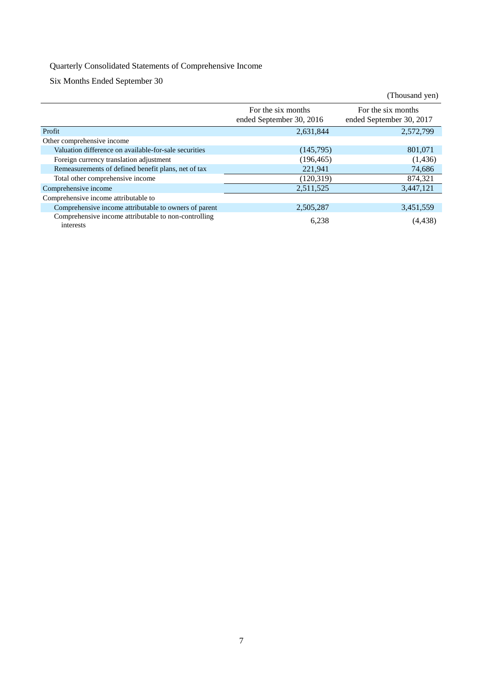# Quarterly Consolidated Statements of Comprehensive Income

Six Months Ended September 30

|                                                                   |                                                | (Thousand yen)                                 |
|-------------------------------------------------------------------|------------------------------------------------|------------------------------------------------|
|                                                                   | For the six months<br>ended September 30, 2016 | For the six months<br>ended September 30, 2017 |
| Profit                                                            | 2,631,844                                      | 2,572,799                                      |
| Other comprehensive income                                        |                                                |                                                |
| Valuation difference on available-for-sale securities             | (145,795)                                      | 801,071                                        |
| Foreign currency translation adjustment                           | (196, 465)                                     | (1, 436)                                       |
| Remeasurements of defined benefit plans, net of tax               | 221,941                                        | 74,686                                         |
| Total other comprehensive income                                  | (120.319)                                      | 874,321                                        |
| Comprehensive income                                              | 2,511,525                                      | 3,447,121                                      |
| Comprehensive income attributable to                              |                                                |                                                |
| Comprehensive income attributable to owners of parent             | 2,505,287                                      | 3,451,559                                      |
| Comprehensive income attributable to non-controlling<br>interests | 6,238                                          | (4,438)                                        |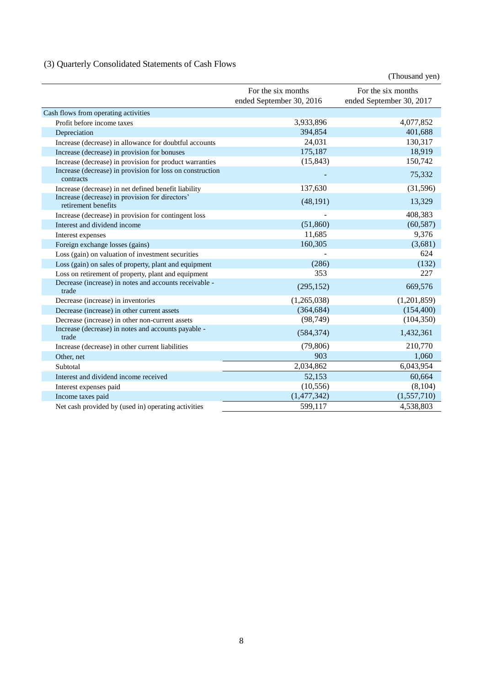# (3) Quarterly Consolidated Statements of Cash Flows

|                                                                        |                                                | (Thousand yen)                                 |
|------------------------------------------------------------------------|------------------------------------------------|------------------------------------------------|
|                                                                        | For the six months<br>ended September 30, 2016 | For the six months<br>ended September 30, 2017 |
| Cash flows from operating activities                                   |                                                |                                                |
| Profit before income taxes                                             | 3,933,896                                      | 4,077,852                                      |
| Depreciation                                                           | 394,854                                        | 401,688                                        |
| Increase (decrease) in allowance for doubtful accounts                 | 24,031                                         | 130,317                                        |
| Increase (decrease) in provision for bonuses                           | 175,187                                        | 18,919                                         |
| Increase (decrease) in provision for product warranties                | (15, 843)                                      | 150,742                                        |
| Increase (decrease) in provision for loss on construction<br>contracts |                                                | 75,332                                         |
| Increase (decrease) in net defined benefit liability                   | 137,630                                        | (31,596)                                       |
| Increase (decrease) in provision for directors'<br>retirement benefits | (48, 191)                                      | 13,329                                         |
| Increase (decrease) in provision for contingent loss                   |                                                | 408,383                                        |
| Interest and dividend income                                           | (51,860)                                       | (60, 587)                                      |
| Interest expenses                                                      | 11,685                                         | 9,376                                          |
| Foreign exchange losses (gains)                                        | 160,305                                        | (3,681)                                        |
| Loss (gain) on valuation of investment securities                      |                                                | 624                                            |
| Loss (gain) on sales of property, plant and equipment                  | (286)                                          | (132)                                          |
| Loss on retirement of property, plant and equipment                    | 353                                            | 227                                            |
| Decrease (increase) in notes and accounts receivable -<br>trade        | (295, 152)                                     | 669,576                                        |
| Decrease (increase) in inventories                                     | (1,265,038)                                    | (1,201,859)                                    |
| Decrease (increase) in other current assets                            | (364, 684)                                     | (154, 400)                                     |
| Decrease (increase) in other non-current assets                        | (98, 749)                                      | (104, 350)                                     |
| Increase (decrease) in notes and accounts payable -<br>trade           | (584, 374)                                     | 1,432,361                                      |
| Increase (decrease) in other current liabilities                       | (79, 806)                                      | 210,770                                        |
| Other, net                                                             | 903                                            | 1,060                                          |
| Subtotal                                                               | 2,034,862                                      | 6,043,954                                      |
| Interest and dividend income received                                  | 52,153                                         | 60,664                                         |
| Interest expenses paid                                                 | (10, 556)                                      | (8,104)                                        |
| Income taxes paid                                                      | (1,477,342)                                    | (1,557,710)                                    |
| Net cash provided by (used in) operating activities                    | 599,117                                        | 4,538,803                                      |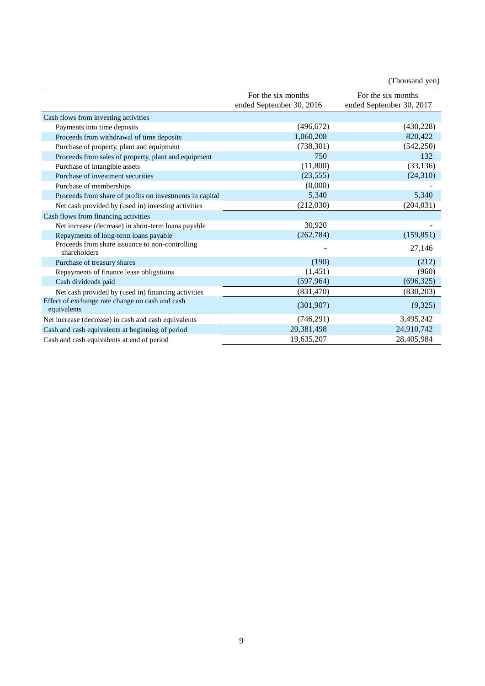|                                                                 |                                                | (Thousand yen)                                 |
|-----------------------------------------------------------------|------------------------------------------------|------------------------------------------------|
|                                                                 | For the six months<br>ended September 30, 2016 | For the six months<br>ended September 30, 2017 |
| Cash flows from investing activities                            |                                                |                                                |
| Payments into time deposits                                     | (496, 672)                                     | (430,228)                                      |
| Proceeds from withdrawal of time deposits                       | 1,060,208                                      | 820,422                                        |
| Purchase of property, plant and equipment                       | (738, 301)                                     | (542, 250)                                     |
| Proceeds from sales of property, plant and equipment            | 750                                            | 132                                            |
| Purchase of intangible assets                                   | (11,800)                                       | (33, 136)                                      |
| Purchase of investment securities                               | (23, 555)                                      | (24,310)                                       |
| Purchase of memberships                                         | (8,000)                                        |                                                |
| Proceeds from share of profits on investments in capital        | 5,340                                          | 5,340                                          |
| Net cash provided by (used in) investing activities             | (212,030)                                      | (204, 031)                                     |
| Cash flows from financing activities                            |                                                |                                                |
| Net increase (decrease) in short-term loans payable             | 30,920                                         |                                                |
| Repayments of long-term loans payable                           | (262, 784)                                     | (159, 851)                                     |
| Proceeds from share issuance to non-controlling<br>shareholders |                                                | 27,146                                         |
| Purchase of treasury shares                                     | (190)                                          | (212)                                          |
| Repayments of finance lease obligations                         | (1,451)                                        | (960)                                          |
| Cash dividends paid                                             | (597, 964)                                     | (696, 325)                                     |
| Net cash provided by (used in) financing activities             | (831, 470)                                     | (830,203)                                      |
| Effect of exchange rate change on cash and cash<br>equivalents  | (301, 907)                                     | (9,325)                                        |
| Net increase (decrease) in cash and cash equivalents            | (746, 291)                                     | 3,495,242                                      |
| Cash and cash equivalents at beginning of period                | 20,381,498                                     | 24,910,742                                     |
| Cash and cash equivalents at end of period                      | 19,635,207                                     | 28,405,984                                     |